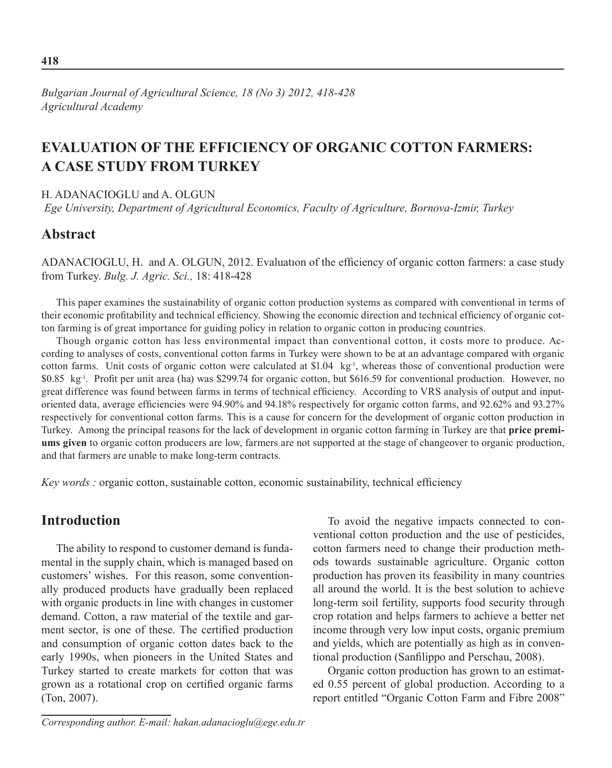# **EvaluatIon of the EffIcIency of OrganIc Cotton Farmers: a Case study from Turkey**

H. ADANACIOGLU and A. OLGUN

 *Ege University, Department of Agricultural Economics, Faculty of Agriculture, Bornova-Izmir, Turkey*

## **Abstract**

ADANACIOGLU, H. and A. OLGUN, 2012. Evaluatıon of the efficiency of organic cotton farmers: a case study from Turkey. *Bulg. J. Agric. Sci.,* 18: 418-428

This paper examines the sustainability of organic cotton production systems as compared with conventional in terms of their economic profitability and technical efficiency. Showing the economic direction and technical efficiency of organic cotton farming is of great importance for guiding policy in relation to organic cotton in producing countries.

Though organic cotton has less environmental impact than conventional cotton, it costs more to produce. According to analyses of costs, conventional cotton farms in Turkey were shown to be at an advantage compared with organic cotton farms. Unit costs of organic cotton were calculated at \$1.04 kg<sup>-1</sup>, whereas those of conventional production were \$0.85 kg<sup>-1</sup>. Profit per unit area (ha) was \$299.74 for organic cotton, but \$616.59 for conventional production. However, no great difference was found between farms in terms of technical efficiency. According to VRS analysis of output and inputoriented data, average efficiencies were 94.90% and 94.18% respectively for organic cotton farms, and 92.62% and 93.27% respectively for conventional cotton farms. This is a cause for concern for the development of organic cotton production in Turkey. Among the principal reasons for the lack of development in organic cotton farming in Turkey are that **price premiums given** to organic cotton producers are low, farmers are not supported at the stage of changeover to organic production, and that farmers are unable to make long-term contracts.

*Key words :* organic cotton, sustainable cotton, economic sustainability, technical efficiency

## **Introduction**

The ability to respond to customer demand is fundamental in the supply chain, which is managed based on customers' wishes. For this reason, some conventionally produced products have gradually been replaced with organic products in line with changes in customer demand. Cotton, a raw material of the textile and garment sector, is one of these. The certified production and consumption of organic cotton dates back to the early 1990s, when pioneers in the United States and Turkey started to create markets for cotton that was grown as a rotational crop on certified organic farms (Ton, 2007).

To avoid the negative impacts connected to conventional cotton production and the use of pesticides, cotton farmers need to change their production methods towards sustainable agriculture. Organic cotton production has proven its feasibility in many countries all around the world. It is the best solution to achieve long-term soil fertility, supports food security through crop rotation and helps farmers to achieve a better net income through very low input costs, organic premium and yields, which are potentially as high as in conventional production (Sanfilippo and Perschau, 2008).

Organic cotton production has grown to an estimated 0.55 percent of global production. According to a report entitled "Organic Cotton Farm and Fibre 2008"

*Corresponding author. E-mail: hakan.adanacioglu@ege.edu.tr*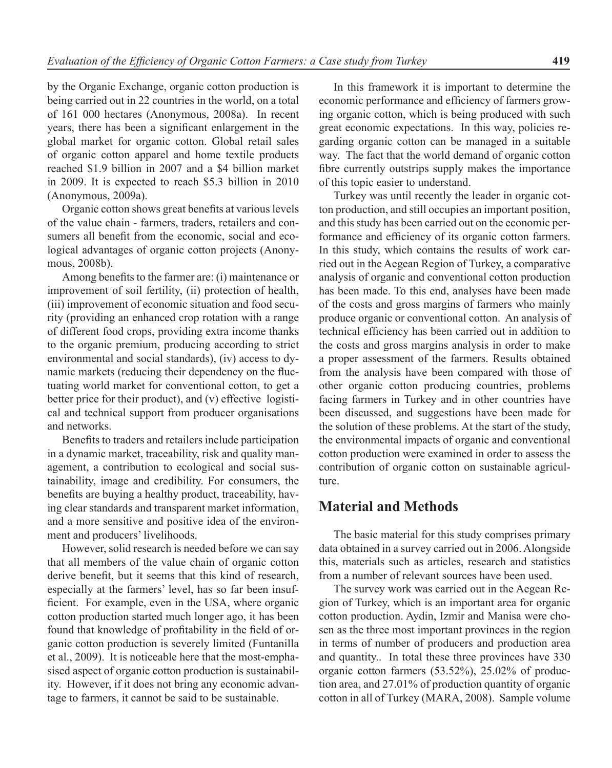by the Organic Exchange, organic cotton production is being carried out in 22 countries in the world, on a total of 161 000 hectares (Anonymous, 2008a). In recent years, there has been a significant enlargement in the global market for organic cotton. Global retail sales of organic cotton apparel and home textile products reached \$1.9 billion in 2007 and a \$4 billion market in 2009. It is expected to reach \$5.3 billion in 2010 (Anonymous, 2009a).

Organic cotton shows great benefits at various levels of the value chain - farmers, traders, retailers and consumers all benefit from the economic, social and ecological advantages of organic cotton projects (Anonymous, 2008b).

Among benefits to the farmer are: (i) maintenance or improvement of soil fertility, (ii) protection of health, (iii) improvement of economic situation and food security (providing an enhanced crop rotation with a range of different food crops, providing extra income thanks to the organic premium, producing according to strict environmental and social standards), (iv) access to dynamic markets (reducing their dependency on the fluctuating world market for conventional cotton, to get a better price for their product), and (v) effective logistical and technical support from producer organisations and networks.

Benefits to traders and retailers include participation in a dynamic market, traceability, risk and quality management, a contribution to ecological and social sustainability, image and credibility. For consumers, the benefits are buying a healthy product, traceability, having clear standards and transparent market information, and a more sensitive and positive idea of the environment and producers' livelihoods.

However, solid research is needed before we can say that all members of the value chain of organic cotton derive benefit, but it seems that this kind of research, especially at the farmers' level, has so far been insufficient. For example, even in the USA, where organic cotton production started much longer ago, it has been found that knowledge of profitability in the field of organic cotton production is severely limited (Funtanilla et al., 2009). It is noticeable here that the most-emphasised aspect of organic cotton production is sustainability. However, if it does not bring any economic advantage to farmers, it cannot be said to be sustainable.

In this framework it is important to determine the economic performance and efficiency of farmers growing organic cotton, which is being produced with such great economic expectations. In this way, policies regarding organic cotton can be managed in a suitable way. The fact that the world demand of organic cotton fibre currently outstrips supply makes the importance of this topic easier to understand.

Turkey was until recently the leader in organic cotton production, and still occupies an important position, and this study has been carried out on the economic performance and efficiency of its organic cotton farmers. In this study, which contains the results of work carried out in the Aegean Region of Turkey, a comparative analysis of organic and conventional cotton production has been made. To this end, analyses have been made of the costs and gross margins of farmers who mainly produce organic or conventional cotton. An analysis of technical efficiency has been carried out in addition to the costs and gross margins analysis in order to make a proper assessment of the farmers. Results obtained from the analysis have been compared with those of other organic cotton producing countries, problems facing farmers in Turkey and in other countries have been discussed, and suggestions have been made for the solution of these problems. At the start of the study, the environmental impacts of organic and conventional cotton production were examined in order to assess the contribution of organic cotton on sustainable agriculture.

## **Material and Methods**

The basic material for this study comprises primary data obtained in a survey carried out in 2006. Alongside this, materials such as articles, research and statistics from a number of relevant sources have been used.

The survey work was carried out in the Aegean Region of Turkey, which is an important area for organic cotton production. Aydin, Izmir and Manisa were chosen as the three most important provinces in the region in terms of number of producers and production area and quantity.. In total these three provinces have 330 organic cotton farmers (53.52%), 25.02% of production area, and 27.01% of production quantity of organic cotton in all of Turkey (MARA, 2008). Sample volume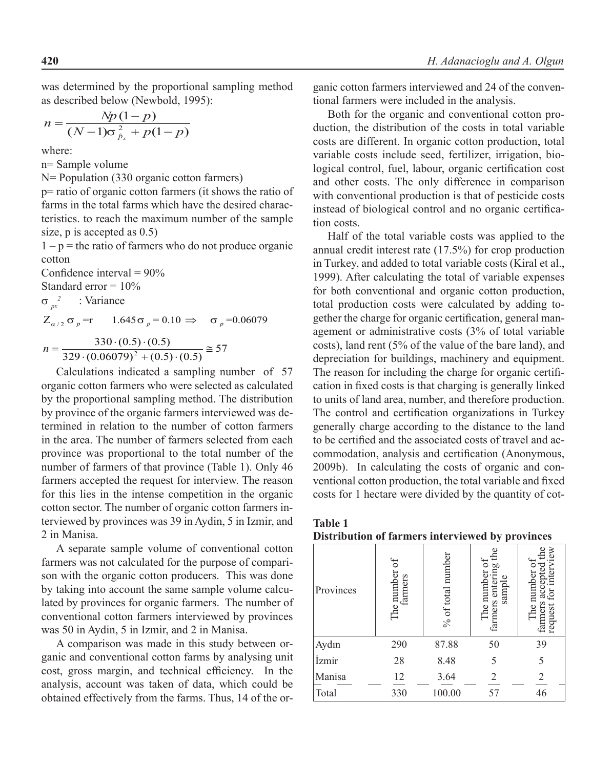was determined by the proportional sampling method as described below (Newbold, 1995):

$$
n = \frac{Np(1-p)}{(N-1)\sigma_{\hat{p}_x}^2 + p(1-p)}
$$

where:

n= Sample volume

N= Population (330 organic cotton farmers)

p= ratio of organic cotton farmers (it shows the ratio of farms in the total farms which have the desired characteristics. to reach the maximum number of the sample size, p is accepted as 0.5)

 $1 - p$  = the ratio of farmers who do not produce organic cotton

Confidence interval  $= 90\%$ 

Standard error  $= 10\%$ 

$$
\sigma_{px}^2
$$
 : Variance

 $Z_{\alpha/2} \sigma_p = r \qquad 1.645 \sigma_p = 0.10 \implies \sigma_p = 0.06079$ 57  $329 \cdot (0.06079)^2 + (0.5) \cdot (0.5)$  $n = \frac{330 \cdot (0.5) \cdot (0.5)}{329 \cdot (0.06079)^2 + (0.5) \cdot (0.5)}$ 

Calculations indicated a sampling number of 57 organic cotton farmers who were selected as calculated by the proportional sampling method. The distribution by province of the organic farmers interviewed was determined in relation to the number of cotton farmers in the area. The number of farmers selected from each province was proportional to the total number of the number of farmers of that province (Table 1). Only 46 farmers accepted the request for interview. The reason for this lies in the intense competition in the organic cotton sector. The number of organic cotton farmers interviewed by provinces was 39 in Aydin, 5 in Izmir, and 2 in Manisa.

A separate sample volume of conventional cotton farmers was not calculated for the purpose of comparison with the organic cotton producers. This was done by taking into account the same sample volume calculated by provinces for organic farmers. The number of conventional cotton farmers interviewed by provinces was 50 in Aydin, 5 in Izmir, and 2 in Manisa.

A comparison was made in this study between organic and conventional cotton farms by analysing unit cost, gross margin, and technical efficiency. In the analysis, account was taken of data, which could be obtained effectively from the farms. Thus, 14 of the or-

ganic cotton farmers interviewed and 24 of the conventional farmers were included in the analysis.

Both for the organic and conventional cotton production, the distribution of the costs in total variable costs are different. In organic cotton production, total variable costs include seed, fertilizer, irrigation, biological control, fuel, labour, organic certification cost and other costs. The only difference in comparison with conventional production is that of pesticide costs instead of biological control and no organic certification costs.

Half of the total variable costs was applied to the annual credit interest rate (17.5%) for crop production in Turkey, and added to total variable costs (Kiral et al., 1999). After calculating the total of variable expenses for both conventional and organic cotton production, total production costs were calculated by adding together the charge for organic certification, general management or administrative costs (3% of total variable costs), land rent (5% of the value of the bare land), and depreciation for buildings, machinery and equipment. The reason for including the charge for organic certification in fixed costs is that charging is generally linked to units of land area, number, and therefore production. The control and certification organizations in Turkey generally charge according to the distance to the land to be certified and the associated costs of travel and accommodation, analysis and certification (Anonymous, 2009b). In calculating the costs of organic and conventional cotton production, the total variable and fixed costs for 1 hectare were divided by the quantity of cot-

| Table 1                                          |  |
|--------------------------------------------------|--|
| Distribution of farmers interviewed by provinces |  |

| Provinces | The number of<br>farmers | % of total number | mers entering the<br>sample<br>The number of<br>$f_{\overline{a}}$ | lew<br>farmers accepted<br>request for intervi<br>The number |
|-----------|--------------------------|-------------------|--------------------------------------------------------------------|--------------------------------------------------------------|
| Aydın     | 290                      | 87.88             | 50                                                                 | 39                                                           |
| İzmir     | 28                       | 8.48              | 5                                                                  |                                                              |
| Manisa    | 12                       | 3.64              | 2                                                                  | $\overline{c}$                                               |
| Total     | 330                      | 100.00            | 57                                                                 | 46                                                           |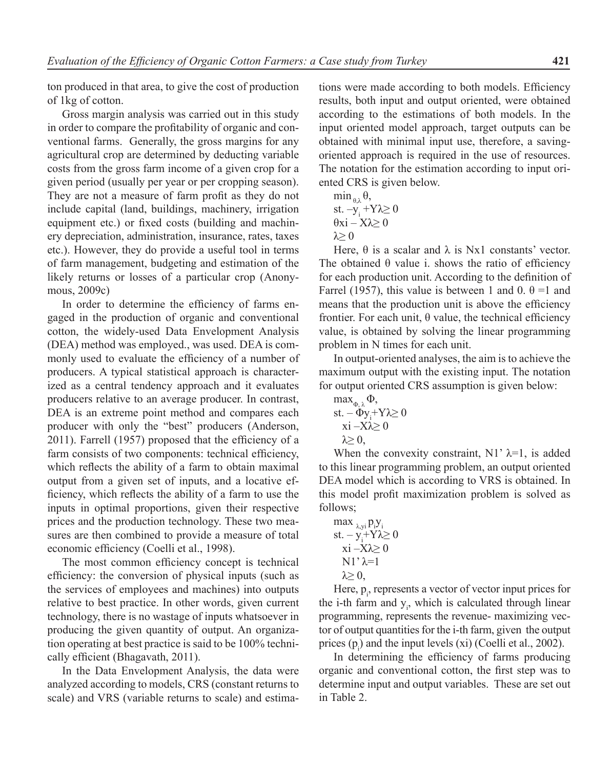ton produced in that area, to give the cost of production of 1kg of cotton.

Gross margin analysis was carried out in this study in order to compare the profitability of organic and conventional farms. Generally, the gross margins for any agricultural crop are determined by deducting variable costs from the gross farm income of a given crop for a given period (usually per year or per cropping season). They are not a measure of farm profit as they do not include capital (land, buildings, machinery, irrigation equipment etc.) or fixed costs (building and machinery depreciation, administration, insurance, rates, taxes etc.). However, they do provide a useful tool in terms of farm management, budgeting and estimation of the likely returns or losses of a particular crop (Anonymous, 2009c)

In order to determine the efficiency of farms engaged in the production of organic and conventional cotton, the widely-used Data Envelopment Analysis (DEA) method was employed., was used. DEA is commonly used to evaluate the efficiency of a number of producers. A typical statistical approach is characterized as a central tendency approach and it evaluates producers relative to an average producer. In contrast, DEA is an extreme point method and compares each producer with only the "best" producers (Anderson, 2011). Farrell (1957) proposed that the efficiency of a farm consists of two components: technical efficiency, which reflects the ability of a farm to obtain maximal output from a given set of inputs, and a locative efficiency, which reflects the ability of a farm to use the inputs in optimal proportions, given their respective prices and the production technology. These two measures are then combined to provide a measure of total economic efficiency (Coelli et al., 1998).

The most common efficiency concept is technical efficiency: the conversion of physical inputs (such as the services of employees and machines) into outputs relative to best practice. In other words, given current technology, there is no wastage of inputs whatsoever in producing the given quantity of output. An organization operating at best practice is said to be 100% technically efficient (Bhagavath, 2011).

In the Data Envelopment Analysis, the data were analyzed according to models, CRS (constant returns to scale) and VRS (variable returns to scale) and estimations were made according to both models. Efficiency results, both input and output oriented, were obtained according to the estimations of both models. In the input oriented model approach, target outputs can be obtained with minimal input use, therefore, a savingoriented approach is required in the use of resources. The notation for the estimation according to input oriented CRS is given below.

$$
\min_{\theta,\lambda} \theta, \nst. -y_i + Y\lambda \ge 0 \n\theta xi - X\lambda \ge 0 \n\lambda \ge 0
$$

Here,  $\theta$  is a scalar and  $\lambda$  is Nx1 constants' vector. The obtained  $\theta$  value i. shows the ratio of efficiency for each production unit. According to the definition of Farrel (1957), this value is between 1 and 0.  $\theta$  =1 and means that the production unit is above the efficiency frontier. For each unit, θ value, the technical efficiency value, is obtained by solving the linear programming problem in N times for each unit.

In output-oriented analyses, the aim is to achieve the maximum output with the existing input. The notation for output oriented CRS assumption is given below:

$$
\max_{\Phi, \lambda} \Phi,
$$
  
st.  $-\Phi y_i + Y\lambda \ge 0$   
xi  $-X\lambda \ge 0$   
 $\lambda \ge 0$ ,

When the convexity constraint,  $N1'$   $\lambda=1$ , is added to this linear programming problem, an output oriented DEA model which is according to VRS is obtained. In this model profit maximization problem is solved as follows;

$$
\max_{\lambda,yi} p_i y_i
$$
\n
$$
st. - y_i + Y\lambda \ge 0
$$
\n
$$
xi - X\lambda \ge 0
$$
\n
$$
N1'\lambda = 1
$$
\n
$$
\lambda \ge 0,
$$

Here,  $p_i$ , represents a vector of vector input prices for the i-th farm and  $y_i$ , which is calculated through linear programming, represents the revenue- maximizing vector of output quantities for the i-th farm, given the output prices  $(p_i)$  and the input levels  $(x_i)$  (Coelli et al., 2002).

In determining the efficiency of farms producing organic and conventional cotton, the first step was to determine input and output variables. These are set out in Table 2.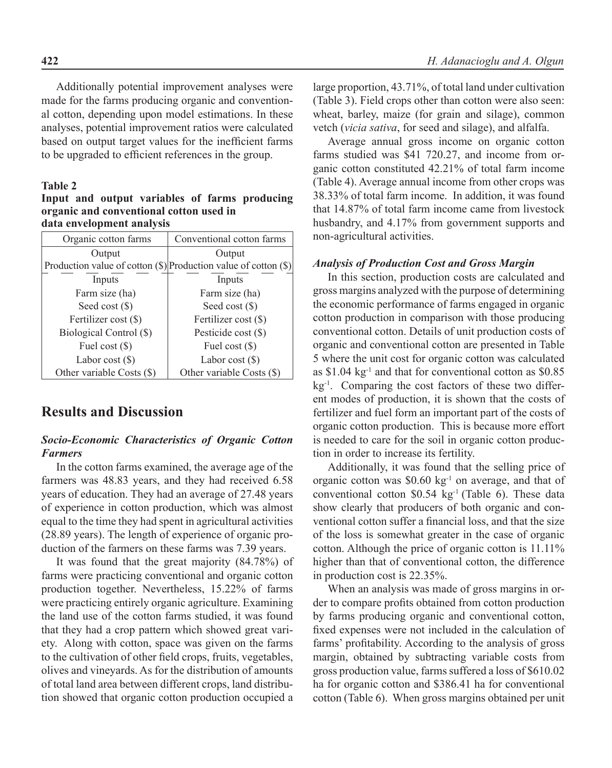Additionally potential improvement analyses were made for the farms producing organic and conventional cotton, depending upon model estimations. In these analyses, potential improvement ratios were calculated based on output target values for the inefficient farms to be upgraded to efficient references in the group.

#### **Table 2**

#### **Input and output variables of farms producing organic and conventional cotton used in data envelopment analysis**

| Organic cotton farms      | Conventional cotton farms                                           |
|---------------------------|---------------------------------------------------------------------|
| Output                    | Output                                                              |
|                           | Production value of cotton $(\$)$ Production value of cotton $(\$)$ |
| Inputs                    | Inputs                                                              |
| Farm size (ha)            | Farm size (ha)                                                      |
| Seed cost $(\$)$          | Seed cost $(\$)$                                                    |
| Fertilizer cost (\$)      | Fertilizer cost (\$)                                                |
| Biological Control (\$)   | Pesticide cost (\$)                                                 |
| Fuel cost $(\$)$          | Fuel cost $(\$)$                                                    |
| Labor cost $(\$)$         | Labor cost $(\$)$                                                   |
| Other variable Costs (\$) | Other variable Costs (\$)                                           |

## **Results and Discussion**

## *Socio-Economic Characteristics of Organic Cotton Farmers*

In the cotton farms examined, the average age of the farmers was 48.83 years, and they had received 6.58 years of education. They had an average of 27.48 years of experience in cotton production, which was almost equal to the time they had spent in agricultural activities (28.89 years). The length of experience of organic production of the farmers on these farms was 7.39 years.

It was found that the great majority (84.78%) of farms were practicing conventional and organic cotton production together. Nevertheless, 15.22% of farms were practicing entirely organic agriculture. Examining the land use of the cotton farms studied, it was found that they had a crop pattern which showed great variety. Along with cotton, space was given on the farms to the cultivation of other field crops, fruits, vegetables, olives and vineyards. As for the distribution of amounts of total land area between different crops, land distribution showed that organic cotton production occupied a

large proportion, 43.71%, of total land under cultivation (Table 3). Field crops other than cotton were also seen: wheat, barley, maize (for grain and silage), common vetch (*vicia sativa*, for seed and silage), and alfalfa.

Average annual gross income on organic cotton farms studied was \$41 720.27, and income from organic cotton constituted 42.21% of total farm income (Table 4). Average annual income from other crops was 38.33% of total farm income. In addition, it was found that 14.87% of total farm income came from livestock husbandry, and 4.17% from government supports and non-agricultural activities.

## *Analysis of Production Cost and Gross Margin*

In this section, production costs are calculated and gross margins analyzed with the purpose of determining the economic performance of farms engaged in organic cotton production in comparison with those producing conventional cotton. Details of unit production costs of organic and conventional cotton are presented in Table 5 where the unit cost for organic cotton was calculated as  $$1.04 \text{ kg}^{-1}$  and that for conventional cotton as  $$0.85$ kg-1. Comparing the cost factors of these two different modes of production, it is shown that the costs of fertilizer and fuel form an important part of the costs of organic cotton production. This is because more effort is needed to care for the soil in organic cotton production in order to increase its fertility.

Additionally, it was found that the selling price of organic cotton was \$0.60 kg-1 on average, and that of conventional cotton  $$0.54 \text{ kg}^{-1}$  (Table 6). These data show clearly that producers of both organic and conventional cotton suffer a financial loss, and that the size of the loss is somewhat greater in the case of organic cotton. Although the price of organic cotton is 11.11% higher than that of conventional cotton, the difference in production cost is 22.35%.

When an analysis was made of gross margins in order to compare profits obtained from cotton production by farms producing organic and conventional cotton, fixed expenses were not included in the calculation of farms' profitability. According to the analysis of gross margin, obtained by subtracting variable costs from gross production value, farms suffered a loss of \$610.02 ha for organic cotton and \$386.41 ha for conventional cotton (Table 6). When gross margins obtained per unit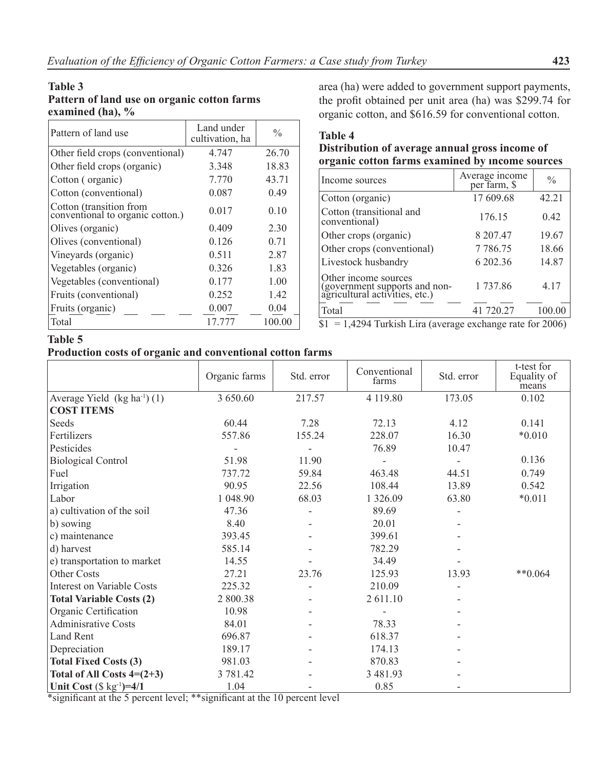### **Table 3 Pattern of land use on organic cotton farms examined (ha), %**

| Pattern of land use                                         | Land under<br>cultivation, ha | $\frac{0}{0}$ |
|-------------------------------------------------------------|-------------------------------|---------------|
| Other field crops (conventional)                            | 4.747                         | 26.70         |
| Other field crops (organic)                                 | 3.348                         | 18.83         |
| Cotton (organic)                                            | 7.770                         | 43.71         |
| Cotton (conventional)                                       | 0.087                         | 0.49          |
| Cotton (transition from<br>conventional to organic cotton.) | 0.017                         | 0.10          |
| Olives (organic)                                            | 0.409                         | 2.30          |
| Olives (conventional)                                       | 0.126                         | 0.71          |
| Vineyards (organic)                                         | 0.511                         | 2.87          |
| Vegetables (organic)                                        | 0.326                         | 1.83          |
| Vegetables (conventional)                                   | 0.177                         | 1.00          |
| Fruits (conventional)                                       | 0.252                         | 1.42          |
| Fruits (organic)                                            | 0.007                         | 0.04          |
| Total                                                       | 17.777                        | 100.00        |

area (ha) were added to government support payments, the profit obtained per unit area (ha) was \$299.74 for organic cotton, and \$616.59 for conventional cotton.

## **Table 4**

## **Distribution of average annual gross income of organic cotton farms examined by ıncome sources**

| Income sources                                                                          | Average income<br>per farm, \$ | $\frac{0}{0}$ |
|-----------------------------------------------------------------------------------------|--------------------------------|---------------|
| Cotton (organic)                                                                        | 17 609.68                      | 42.21         |
| Cotton (transitional and<br>conventional)                                               | 176.15                         | 0.42          |
| Other crops (organic)                                                                   | 8 207.47                       | 19.67         |
| Other crops (conventional)                                                              | 7 7 8 6 . 7 5                  | 18.66         |
| Livestock husbandry                                                                     | 6 202.36                       | 14.87         |
| Other income sources<br>(government supports and non-<br>agricultural activities, etc.) | 1737.86                        | 4.17          |
| Total                                                                                   | 41 720.27                      | 100.0         |

 $\overline{S1}$  = 1,4294 Turkish Lira (average exchange rate for 2006)

### **Table 5**

### **Production costs of organic and conventional cotton farms**

|                                   | Organic farms | Std. error | Conventional<br>farms | Std. error | t-test for<br>Equality of<br>means |
|-----------------------------------|---------------|------------|-----------------------|------------|------------------------------------|
| Average Yield $(kg ha-1)$ (1)     | 3 650.60      | 217.57     | 4 119.80              | 173.05     | 0.102                              |
| <b>COST ITEMS</b>                 |               |            |                       |            |                                    |
| Seeds                             | 60.44         | 7.28       | 72.13                 | 4.12       | 0.141                              |
| Fertilizers                       | 557.86        | 155.24     | 228.07                | 16.30      | $*0.010$                           |
| Pesticides                        |               |            | 76.89                 | 10.47      |                                    |
| <b>Biological Control</b>         | 51.98         | 11.90      |                       |            | 0.136                              |
| Fuel                              | 737.72        | 59.84      | 463.48                | 44.51      | 0.749                              |
| Irrigation                        | 90.95         | 22.56      | 108.44                | 13.89      | 0.542                              |
| Labor                             | 1 048.90      | 68.03      | 1 3 2 6 . 0 9         | 63.80      | $*0.011$                           |
| a) cultivation of the soil        | 47.36         |            | 89.69                 |            |                                    |
| $\vert$ b) sowing                 | 8.40          |            | 20.01                 |            |                                    |
| c) maintenance                    | 393.45        |            | 399.61                |            |                                    |
| d) harvest                        | 585.14        |            | 782.29                |            |                                    |
| e) transportation to market       | 14.55         |            | 34.49                 |            |                                    |
| Other Costs                       | 27.21         | 23.76      | 125.93                | 13.93      | $*$ $*$ 0.064                      |
| <b>Interest on Variable Costs</b> | 225.32        |            | 210.09                |            |                                    |
| <b>Total Variable Costs (2)</b>   | 2 800.38      |            | 2 611.10              |            |                                    |
| Organic Certification             | 10.98         |            |                       |            |                                    |
| <b>Adminisrative Costs</b>        | 84.01         |            | 78.33                 |            |                                    |
| Land Rent                         | 696.87        |            | 618.37                |            |                                    |
| Depreciation                      | 189.17        |            | 174.13                |            |                                    |
| <b>Total Fixed Costs (3)</b>      | 981.03        |            | 870.83                |            |                                    |
| Total of All Costs $4=(2+3)$      | 3 781.42      |            | 3 481.93              |            |                                    |
| Unit Cost $(\$ kg^{-1})=4/1$      | 1.04          |            | 0.85                  |            |                                    |

\*significant at the 5 percent level; \*\*significant at the 10 percent level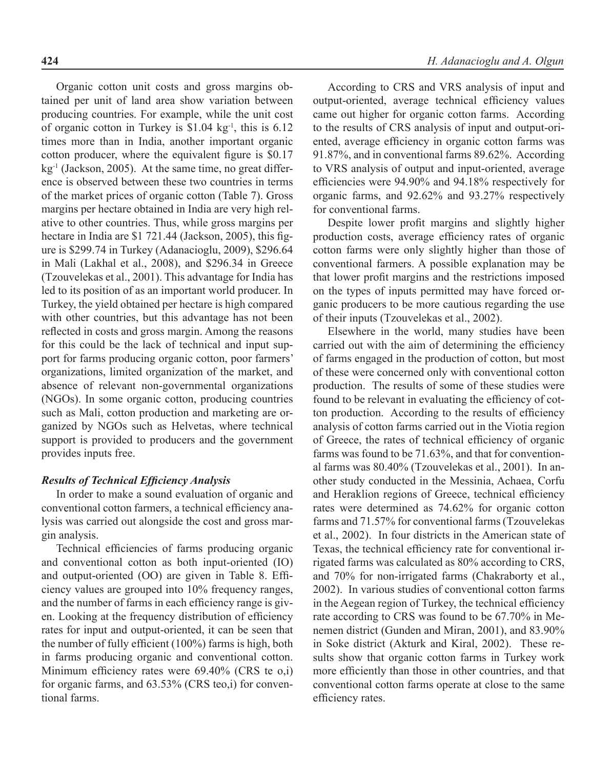Organic cotton unit costs and gross margins obtained per unit of land area show variation between producing countries. For example, while the unit cost of organic cotton in Turkey is  $$1.04 \text{ kg}^{-1}$ , this is 6.12 times more than in India, another important organic cotton producer, where the equivalent figure is \$0.17  $kg<sup>-1</sup>$  (Jackson, 2005). At the same time, no great difference is observed between these two countries in terms of the market prices of organic cotton (Table 7). Gross margins per hectare obtained in India are very high relative to other countries. Thus, while gross margins per hectare in India are \$1 721.44 (Jackson, 2005), this figure is \$299.74 in Turkey (Adanacioglu, 2009), \$296.64 in Mali (Lakhal et al., 2008), and \$296.34 in Greece (Tzouvelekas et al., 2001). This advantage for India has led to its position of as an important world producer. In Turkey, the yield obtained per hectare is high compared with other countries, but this advantage has not been reflected in costs and gross margin. Among the reasons for this could be the lack of technical and input support for farms producing organic cotton, poor farmers' organizations, limited organization of the market, and absence of relevant non-governmental organizations (NGOs). In some organic cotton, producing countries such as Mali, cotton production and marketing are organized by NGOs such as Helvetas, where technical support is provided to producers and the government provides inputs free.

#### *Results of Technical Efficiency Analysis*

In order to make a sound evaluation of organic and conventional cotton farmers, a technical efficiency analysis was carried out alongside the cost and gross margin analysis.

Technical efficiencies of farms producing organic and conventional cotton as both input-oriented (IO) and output-oriented (OO) are given in Table 8. Efficiency values are grouped into 10% frequency ranges, and the number of farms in each efficiency range is given. Looking at the frequency distribution of efficiency rates for input and output-oriented, it can be seen that the number of fully efficient (100%) farms is high, both in farms producing organic and conventional cotton. Minimum efficiency rates were 69.40% (CRS te o,i) for organic farms, and 63.53% (CRS teo,i) for conventional farms.

According to CRS and VRS analysis of input and output-oriented, average technical efficiency values came out higher for organic cotton farms. According to the results of CRS analysis of input and output-oriented, average efficiency in organic cotton farms was 91.87%, and in conventional farms 89.62%. According to VRS analysis of output and input-oriented, average efficiencies were 94.90% and 94.18% respectively for organic farms, and 92.62% and 93.27% respectively for conventional farms.

Despite lower profit margins and slightly higher production costs, average efficiency rates of organic cotton farms were only slightly higher than those of conventional farmers. A possible explanation may be that lower profit margins and the restrictions imposed on the types of inputs permitted may have forced organic producers to be more cautious regarding the use of their inputs (Tzouvelekas et al., 2002).

Elsewhere in the world, many studies have been carried out with the aim of determining the efficiency of farms engaged in the production of cotton, but most of these were concerned only with conventional cotton production. The results of some of these studies were found to be relevant in evaluating the efficiency of cotton production. According to the results of efficiency analysis of cotton farms carried out in the Viotia region of Greece, the rates of technical efficiency of organic farms was found to be 71.63%, and that for conventional farms was 80.40% (Tzouvelekas et al., 2001). In another study conducted in the Messinia, Achaea, Corfu and Heraklion regions of Greece, technical efficiency rates were determined as 74.62% for organic cotton farms and 71.57% for conventional farms (Tzouvelekas et al., 2002). In four districts in the American state of Texas, the technical efficiency rate for conventional irrigated farms was calculated as 80% according to CRS, and 70% for non-irrigated farms (Chakraborty et al., 2002). In various studies of conventional cotton farms in the Aegean region of Turkey, the technical efficiency rate according to CRS was found to be 67.70% in Menemen district (Gunden and Miran, 2001), and 83.90% in Soke district (Akturk and Kiral, 2002). These results show that organic cotton farms in Turkey work more efficiently than those in other countries, and that conventional cotton farms operate at close to the same efficiency rates.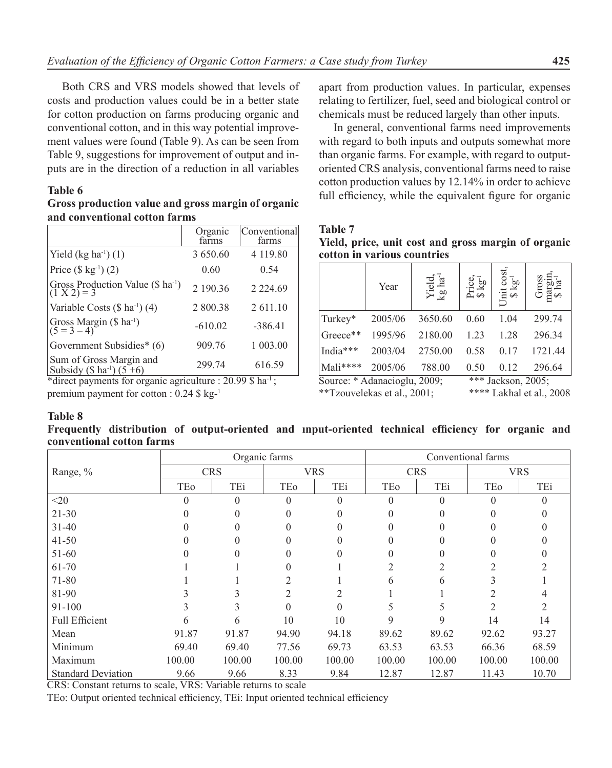Both CRS and VRS models showed that levels of costs and production values could be in a better state for cotton production on farms producing organic and conventional cotton, and in this way potential improvement values were found (Table 9). As can be seen from Table 9, suggestions for improvement of output and inputs are in the direction of a reduction in all variables

#### **Table 6**

**Gross production value and gross margin of organic and conventional cotton farms** 

|                                                                   | Organic<br>farms | Conventional<br>farms |
|-------------------------------------------------------------------|------------------|-----------------------|
| Yield $(kg ha-1)$ (1)                                             | 3 650.60         | 4 1 1 9 . 8 0         |
| Price $(\$ \ kg^{-1}) (2)$                                        | 0.60             | 0.54                  |
| Gross Production Value (\$ ha <sup>-1</sup> )<br>(1 X 2) = 3      | 2 190.36         | 2 2 2 4 6 9           |
| Variable Costs $(\$$ ha <sup>-1</sup> ) $(4)$                     | 2 800.38         | 2 611.10              |
| Gross Margin (\$ ha <sup>-1</sup> )<br>(5 = 3 - 4)                | $-610.02$        | $-386.41$             |
| Government Subsidies* (6)                                         | 909.76           | 1 003.00              |
| Sum of Gross Margin and<br>Subsidy $(\$ \text{ ha}^{-1}) (5 + 6)$ | 299.74           | 616.59                |

\*direct payments for organic agriculture : 20.99 \$ ha<sup>-1</sup>; premium payment for cotton : 0.24 \$ kg-<sup>1</sup>

apart from production values. In particular, expenses relating to fertilizer, fuel, seed and biological control or chemicals must be reduced largely than other inputs.

In general, conventional farms need improvements with regard to both inputs and outputs somewhat more than organic farms. For example, with regard to outputoriented CRS analysis, conventional farms need to raise cotton production values by 12.14% in order to achieve full efficiency, while the equivalent figure for organic

#### **Table 7**

|                             |  |  | Yield, price, unit cost and gross margin of organic |  |
|-----------------------------|--|--|-----------------------------------------------------|--|
| cotton in various countries |  |  |                                                     |  |

|                                                    | Year    | ${\rm Yield}_{\rm S}$ ha <sup>-1</sup> | Price,<br>\$ kg <sup>-1</sup> | Unit cost, $$kg^{-1}$ | Gross<br>margin<br>$\oint$ ha <sup>-1</sup> |  |
|----------------------------------------------------|---------|----------------------------------------|-------------------------------|-----------------------|---------------------------------------------|--|
| Turkey*                                            | 2005/06 | 3650.60                                | 0.60                          | 1.04                  | 299.74                                      |  |
| Greece**                                           | 1995/96 | 2180.00                                | 1.23                          | 1.28                  | 296.34                                      |  |
| India***                                           | 2003/04 | 2750.00                                | 0.58                          | 0.17                  | 1721.44                                     |  |
| Mali****                                           | 2005/06 | 788.00                                 | 0.50                          | 0.12                  | 296.64                                      |  |
| Source: * Adanacioglu, 2009;<br>*** Jackson, 2005; |         |                                        |                               |                       |                                             |  |

\*\*Tzouvelekas et al., 2001; \*\*\*\* Lakhal et al., 2008

## **Table 8**

|                           | Frequently distribution of output-oriented and input-oriented technical efficiency for organic and |  |  |  |  |
|---------------------------|----------------------------------------------------------------------------------------------------|--|--|--|--|
| conventional cotton farms |                                                                                                    |  |  |  |  |

|                           | Organic farms |               |                |            | Conventional farms |          |                |        |
|---------------------------|---------------|---------------|----------------|------------|--------------------|----------|----------------|--------|
| Range, %                  |               | <b>CRS</b>    |                | <b>VRS</b> | <b>CRS</b>         |          | <b>VRS</b>     |        |
|                           | TEo           | TEi           | TEo            | TEi        | TEo                | TEi      | TEo            | TEi    |
| $<$ 20                    | $\Omega$      | $\theta$      | $\theta$       | $\Omega$   | $\Omega$           | $\theta$ | $\Omega$       |        |
| $21 - 30$                 | 0             | $_{0}$        | $\theta$       | 0          | 0                  | $\theta$ | $\Omega$       |        |
| $31 - 40$                 |               | $\mathbf{0}$  | $\theta$       |            | 0                  | 0        | 0              |        |
| $41 - 50$                 |               |               | $\theta$       | $\Omega$   |                    | $\theta$ | 0              |        |
| 51-60                     |               |               | $\theta$       |            |                    | 0        |                |        |
| 61-70                     |               |               | 0              |            |                    | 2        |                |        |
| 71-80                     |               |               | $\mathfrak{D}$ |            | 6                  | 6        |                |        |
| 81-90                     |               |               | 2              |            |                    |          |                |        |
| 91-100                    |               | $\rightarrow$ | $\theta$       | $\Omega$   |                    |          | $\mathfrak{D}$ |        |
| <b>Full Efficient</b>     | 6             | 6             | 10             | 10         | 9                  | 9        | 14             | 14     |
| Mean                      | 91.87         | 91.87         | 94.90          | 94.18      | 89.62              | 89.62    | 92.62          | 93.27  |
| Minimum                   | 69.40         | 69.40         | 77.56          | 69.73      | 63.53              | 63.53    | 66.36          | 68.59  |
| Maximum                   | 100.00        | 100.00        | 100.00         | 100.00     | 100.00             | 100.00   | 100.00         | 100.00 |
| <b>Standard Deviation</b> | 9.66          | 9.66          | 8.33           | 9.84       | 12.87              | 12.87    | 11.43          | 10.70  |

CRS: Constant returns to scale, VRS: Variable returns to scale

TEo: Output oriented technical efficiency, TEi: Input oriented technical efficiency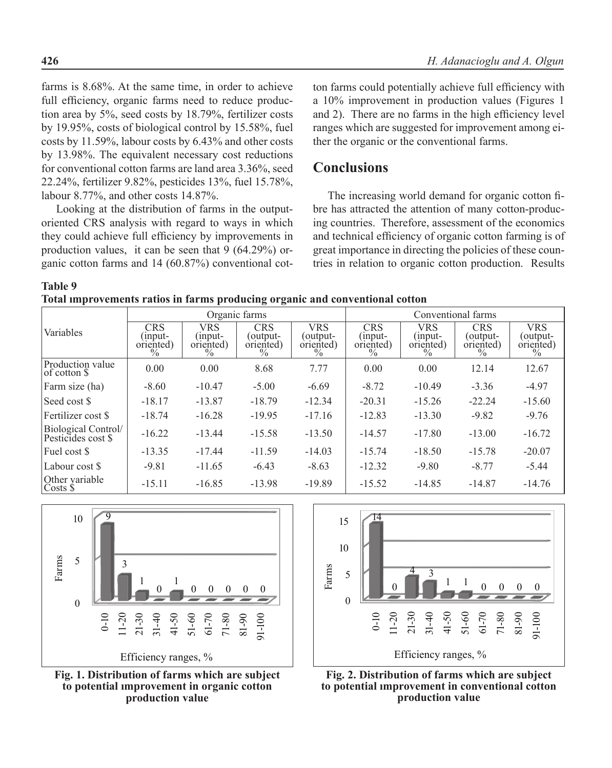farms is 8.68%. At the same time, in order to achieve full efficiency, organic farms need to reduce production area by 5%, seed costs by 18.79%, fertilizer costs by 19.95%, costs of biological control by 15.58%, fuel costs by 11.59%, labour costs by 6.43% and other costs by 13.98%. The equivalent necessary cost reductions for conventional cotton farms are land area 3.36%, seed 22.24%, fertilizer 9.82%, pesticides 13%, fuel 15.78%, labour 8.77%, and other costs 14.87%.

Looking at the distribution of farms in the outputoriented CRS analysis with regard to ways in which they could achieve full efficiency by improvements in production values, it can be seen that  $9(64.29\%)$  organic cotton farms and 14 (60.87%) conventional cot-

ton farms could potentially achieve full efficiency with a 10% improvement in production values (Figures 1 and 2). There are no farms in the high efficiency level ranges which are suggested for improvement among either the organic or the conventional farms.

## **Conclusions**

The increasing world demand for organic cotton fibre has attracted the attention of many cotton-producing countries. Therefore, assessment of the economics and technical efficiency of organic cotton farming is of great importance in directing the policies of these countries in relation to organic cotton production. Results

**Table 9**

| Total improvements ratios in farms producing organic and conventional cotton |  |  |  |  |  |  |
|------------------------------------------------------------------------------|--|--|--|--|--|--|
|------------------------------------------------------------------------------|--|--|--|--|--|--|

| Variables                                            | Organic farms                                       |                                              |                                                      |                                               | Conventional farms                                  |                                               |                                                      |                                                      |
|------------------------------------------------------|-----------------------------------------------------|----------------------------------------------|------------------------------------------------------|-----------------------------------------------|-----------------------------------------------------|-----------------------------------------------|------------------------------------------------------|------------------------------------------------------|
|                                                      | <b>CRS</b><br>(input-<br>oriented)<br>$\frac{0}{0}$ | VRS<br>(input-<br>oriented)<br>$\frac{0}{0}$ | <b>CRS</b><br>output-)<br>oriented)<br>$\frac{0}{0}$ | VRS<br>(output-<br>oriented)<br>$\frac{0}{0}$ | <b>CRS</b><br>(input-<br>oriented)<br>$\frac{0}{0}$ | VRS<br>$(nput-$<br>oriented)<br>$\frac{0}{0}$ | <b>CRS</b><br>output-)<br>oriented)<br>$\frac{0}{0}$ | <b>VRS</b><br>output-)<br>oriented)<br>$\frac{0}{0}$ |
| Production value<br>$\log$ cotton $\hat{\mathbb{S}}$ | 0.00                                                | 0.00                                         | 8.68                                                 | 7.77                                          | 0.00                                                | 0.00                                          | 12.14                                                | 12.67                                                |
| Farm size (ha)                                       | $-8.60$                                             | $-10.47$                                     | $-5.00$                                              | $-6.69$                                       | $-8.72$                                             | $-10.49$                                      | $-3.36$                                              | $-4.97$                                              |
| Seed cost \$                                         | $-18.17$                                            | $-13.87$                                     | $-18.79$                                             | $-12.34$                                      | $-20.31$                                            | $-15.26$                                      | $-22.24$                                             | $-15.60$                                             |
| Fertilizer cost \$                                   | $-18.74$                                            | $-16.28$                                     | $-19.95$                                             | $-17.16$                                      | $-12.83$                                            | $-13.30$                                      | $-9.82$                                              | $-9.76$                                              |
| Biological Control/<br>Pesticides cost \$            | $-16.22$                                            | $-13.44$                                     | $-15.58$                                             | $-13.50$                                      | $-14.57$                                            | $-17.80$                                      | $-13.00$                                             | $-16.72$                                             |
| Fuel cost \$                                         | $-13.35$                                            | $-17.44$                                     | $-11.59$                                             | $-14.03$                                      | $-15.74$                                            | $-18.50$                                      | $-15.78$                                             | $-20.07$                                             |
| Labour cost \$                                       | $-9.81$                                             | $-11.65$                                     | $-6.43$                                              | $-8.63$                                       | $-12.32$                                            | $-9.80$                                       | $-8.77$                                              | $-5.44$                                              |
| Other variable<br>$\vert$ Costs \$                   | $-15.11$                                            | $-16.85$                                     | $-13.98$                                             | $-19.89$                                      | $-15.52$                                            | $-14.85$                                      | $-14.87$                                             | $-14.76$                                             |



**Fig. 1. Distribution of farms which are subject to potential ımprovement in organic cotton production value**



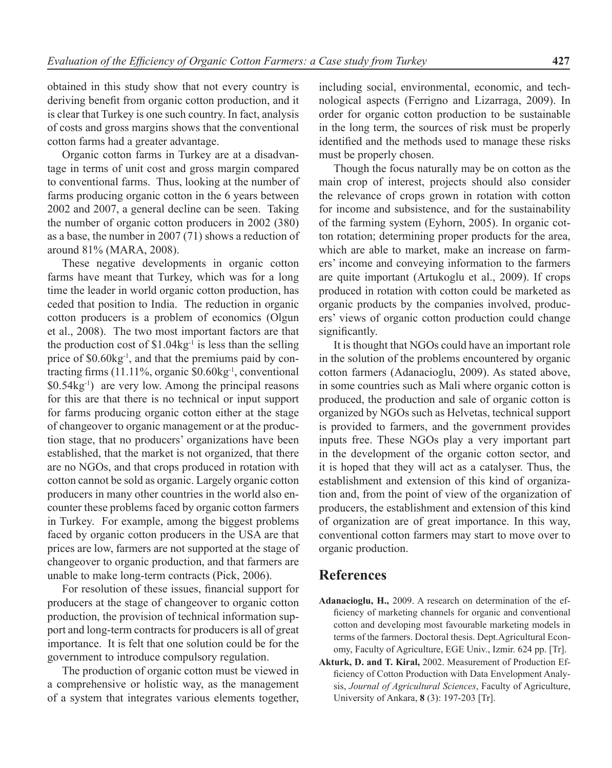obtained in this study show that not every country is deriving benefit from organic cotton production, and it is clear that Turkey is one such country. In fact, analysis of costs and gross margins shows that the conventional cotton farms had a greater advantage.

Organic cotton farms in Turkey are at a disadvantage in terms of unit cost and gross margin compared to conventional farms. Thus, looking at the number of farms producing organic cotton in the 6 years between 2002 and 2007, a general decline can be seen. Taking the number of organic cotton producers in 2002 (380) as a base, the number in 2007 (71) shows a reduction of around 81% (MARA, 2008).

These negative developments in organic cotton farms have meant that Turkey, which was for a long time the leader in world organic cotton production, has ceded that position to India. The reduction in organic cotton producers is a problem of economics (Olgun et al., 2008). The two most important factors are that the production cost of  $$1.04kg<sup>-1</sup>$  is less than the selling price of \$0.60kg-1, and that the premiums paid by contracting firms  $(11.11\%$ , organic \$0.60 $kg<sup>-1</sup>$ , conventional \$0.54kg-1) are very low. Among the principal reasons for this are that there is no technical or input support for farms producing organic cotton either at the stage of changeover to organic management or at the production stage, that no producers' organizations have been established, that the market is not organized, that there are no NGOs, and that crops produced in rotation with cotton cannot be sold as organic. Largely organic cotton producers in many other countries in the world also encounter these problems faced by organic cotton farmers in Turkey. For example, among the biggest problems faced by organic cotton producers in the USA are that prices are low, farmers are not supported at the stage of changeover to organic production, and that farmers are unable to make long-term contracts (Pick, 2006).

For resolution of these issues, financial support for producers at the stage of changeover to organic cotton production, the provision of technical information support and long-term contracts for producers is all of great importance. It is felt that one solution could be for the government to introduce compulsory regulation.

The production of organic cotton must be viewed in a comprehensive or holistic way, as the management of a system that integrates various elements together,

including social, environmental, economic, and technological aspects (Ferrigno and Lizarraga, 2009). In order for organic cotton production to be sustainable in the long term, the sources of risk must be properly identified and the methods used to manage these risks must be properly chosen.

Though the focus naturally may be on cotton as the main crop of interest, projects should also consider the relevance of crops grown in rotation with cotton for income and subsistence, and for the sustainability of the farming system (Eyhorn, 2005). In organic cotton rotation; determining proper products for the area, which are able to market, make an increase on farmers' income and conveying information to the farmers are quite important (Artukoglu et al., 2009). If crops produced in rotation with cotton could be marketed as organic products by the companies involved, producers' views of organic cotton production could change significantly.

It is thought that NGOs could have an important role in the solution of the problems encountered by organic cotton farmers (Adanacioglu, 2009). As stated above, in some countries such as Mali where organic cotton is produced, the production and sale of organic cotton is organized by NGOs such as Helvetas, technical support is provided to farmers, and the government provides inputs free. These NGOs play a very important part in the development of the organic cotton sector, and it is hoped that they will act as a catalyser. Thus, the establishment and extension of this kind of organization and, from the point of view of the organization of producers, the establishment and extension of this kind of organization are of great importance. In this way, conventional cotton farmers may start to move over to organic production.

## **References**

- **Adanacioglu, H.,** 2009. A research on determination of the efficiency of marketing channels for organic and conventional cotton and developing most favourable marketing models in terms of the farmers. Doctoral thesis. Dept.Agricultural Economy, Faculty of Agriculture, EGE Univ., Izmir. 624 pp. [Tr].
- **Akturk, D. and T. Kiral,** 2002. Measurement of Production Efficiency of Cotton Production with Data Envelopment Analysis, *Journal of Agricultural Sciences*, Faculty of Agriculture, University of Ankara, **8** (3): 197-203 [Tr].